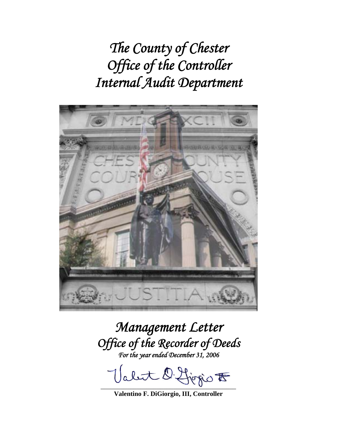*The County of Chester Office of the Controller Internal Audit Department* 



*Management Letter Office of the Recorder of Deeds For the year ended December 31, 2006* 

Valut D. Ljogio F

**Valentino F. DiGiorgio, III, Controller**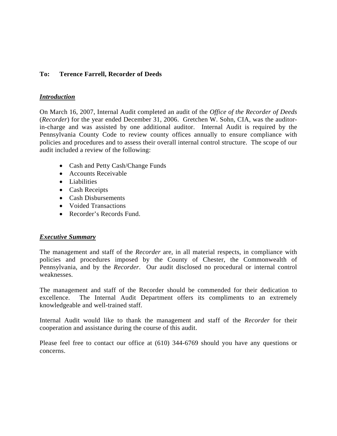# **To: Terence Farrell, Recorder of Deeds**

## *Introduction*

On March 16, 2007, Internal Audit completed an audit of the *Office of the Recorder of Deeds* (*Recorder*) for the year ended December 31, 2006. Gretchen W. Sohn, CIA, was the auditorin-charge and was assisted by one additional auditor. Internal Audit is required by the Pennsylvania County Code to review county offices annually to ensure compliance with policies and procedures and to assess their overall internal control structure. The scope of our audit included a review of the following:

- Cash and Petty Cash/Change Funds
- Accounts Receivable
- Liabilities
- Cash Receipts
- Cash Disbursements
- Voided Transactions
- Recorder's Records Fund.

## *Executive Summary*

The management and staff of the *Recorder* are, in all material respects, in compliance with policies and procedures imposed by the County of Chester, the Commonwealth of Pennsylvania, and by the *Recorder*.Our audit disclosed no procedural or internal control weaknesses.

The management and staff of the Recorder should be commended for their dedication to excellence. The Internal Audit Department offers its compliments to an extremely knowledgeable and well-trained staff.

Internal Audit would like to thank the management and staff of the *Recorder* for their cooperation and assistance during the course of this audit.

Please feel free to contact our office at (610) 344-6769 should you have any questions or concerns.